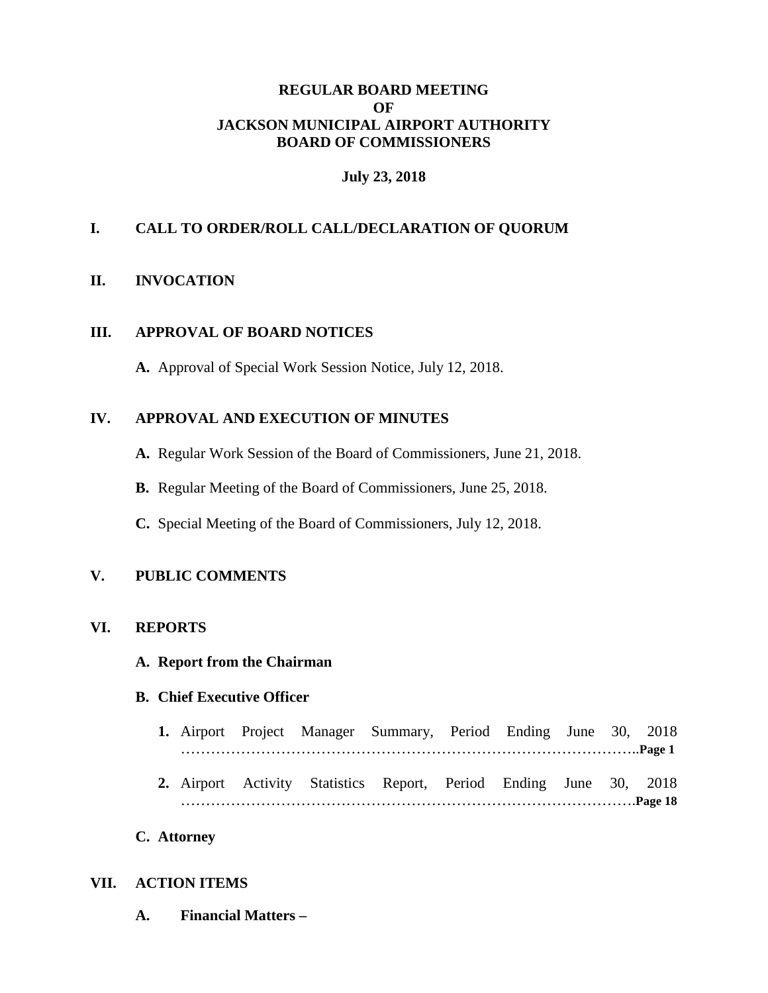# **REGULAR BOARD MEETING OF JACKSON MUNICIPAL AIRPORT AUTHORITY BOARD OF COMMISSIONERS**

# **July 23, 2018**

# **I. CALL TO ORDER/ROLL CALL/DECLARATION OF QUORUM**

### **II. INVOCATION**

### **III. APPROVAL OF BOARD NOTICES**

**A.** Approval of Special Work Session Notice, July 12, 2018.

# **IV. APPROVAL AND EXECUTION OF MINUTES**

- **A.** Regular Work Session of the Board of Commissioners, June 21, 2018.
- **B.** Regular Meeting of the Board of Commissioners, June 25, 2018.
- **C.** Special Meeting of the Board of Commissioners, July 12, 2018.

### **V. PUBLIC COMMENTS**

#### **VI. REPORTS**

### **A. Report from the Chairman**

#### **B. Chief Executive Officer**

- **1.** Airport Project Manager Summary, Period Ending June 30, 2018 ………………………………………………………………………………..**Page 1**
- **2.** Airport Activity Statistics Report, Period Ending June 30, 2018 ……………………………………………………………………………….**Page 18**

### **C. Attorney**

# **VII. ACTION ITEMS**

**A. Financial Matters –**